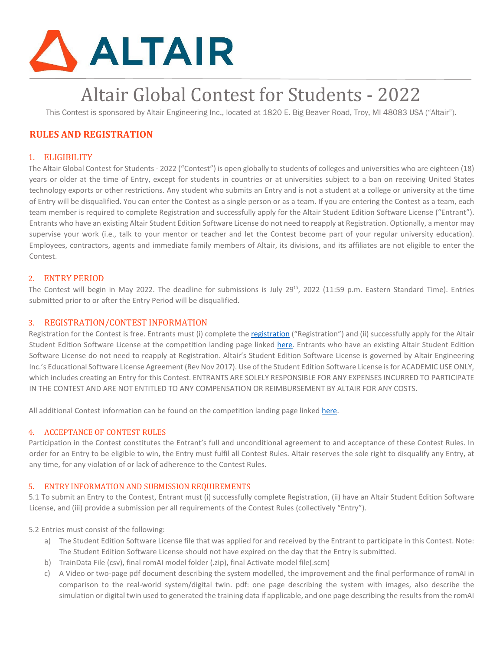

# Altair Global Contest for Students - 2022

This Contest is sponsored by Altair Engineering Inc., located at 1820 E. Big Beaver Road, Troy, MI 48083 USA ("Altair").

## **RULES AND REGISTRATION**

## 1. ELIGIBILITY

The Altair Global Contest for Students - 2022 ("Contest") is open globally to students of colleges and universities who are eighteen (18) years or older at the time of Entry, except for students in countries or at universities subject to a ban on receiving United States technology exports or other restrictions. Any student who submits an Entry and is not a student at a college or university at the time of Entry will be disqualified. You can enter the Contest as a single person or as a team. If you are entering the Contest as a team, each team member is required to complete Registration and successfully apply for the Altair Student Edition Software License ("Entrant"). Entrants who have an existing Altair Student Edition Software License do not need to reapply at Registration. Optionally, a mentor may supervise your work (i.e., talk to your mentor or teacher and let the Contest become part of your regular university education). Employees, contractors, agents and immediate family members of Altair, its divisions, and its affiliates are not eligible to enter the Contest.

## 2. ENTRY PERIOD

The Contest will begin in May 2022. The deadline for submissions is July 29<sup>th</sup>, 2022 (11:59 p.m. Eastern Standard Time). Entries submitted prior to or after the Entry Period will be disqualified.

## 3. REGISTRATION/CONTEST INFORMATION

Registration for the Contest is free. Entrants must (i) complete [the](https://altairuniversity.com/contest/#10contestregistration) [registration \("](https://altairuniversity.com/contest/#10contestregistration)Registration") and (ii) successfully apply for the Altair Student Edition Software License at the competition landing page link[ed](https://altairuniversity.com/contest/) [here.](https://altairuniversity.com/contest/) Entrants who have an existing Altair Student Edition Software License do not need to reapply at Registration. Altair's Student Edition Software License is governed by Altair Engineering Inc.'s Educational Software License Agreement (Rev Nov 2017). Use of the Student Edition Software License is for ACADEMIC USE ONLY, which includes creating an Entry for this Contest. ENTRANTS ARE SOLELY RESPONSIBLE FOR ANY EXPENSES INCURRED TO PARTICIPATE IN THE CONTEST AND ARE NOT ENTITLED TO ANY COMPENSATION OR REIMBURSEMENT BY ALTAIR FOR ANY COSTS.

All additional Contest information can be found on the competition landing page lin[ked](https://altairuniversity.com/contest/) [here.](https://altairuniversity.com/contest/) 

#### 4. ACCEPTANCE OF CONTEST RULES

Participation in the Contest constitutes the Entrant's full and unconditional agreement to and acceptance of these Contest Rules. In order for an Entry to be eligible to win, the Entry must fulfil all Contest Rules. Altair reserves the sole right to disqualify any Entry, at any time, for any violation of or lack of adherence to the Contest Rules.

#### 5. ENTRY INFORMATION AND SUBMISSION REQUIREMENTS

5.1 To submit an Entry to the Contest, Entrant must (i) successfully complete Registration, (ii) have an Altair Student Edition Software License, and (iii) provide a submission per all requirements of the Contest Rules (collectively "Entry").

5.2 Entries must consist of the following:

- a) The Student Edition Software License file that was applied for and received by the Entrant to participate in this Contest. Note: The Student Edition Software License should not have expired on the day that the Entry is submitted.
- b) TrainData File (csv), final romAI model folder (.zip), final Activate model file(.scm)
- c) A Video or two-page pdf document describing the system modelled, the improvement and the final performance of romAI in comparison to the real-world system/digital twin. pdf: one page describing the system with images, also describe the simulation or digital twin used to generated the training data if applicable, and one page describing the results from the romAI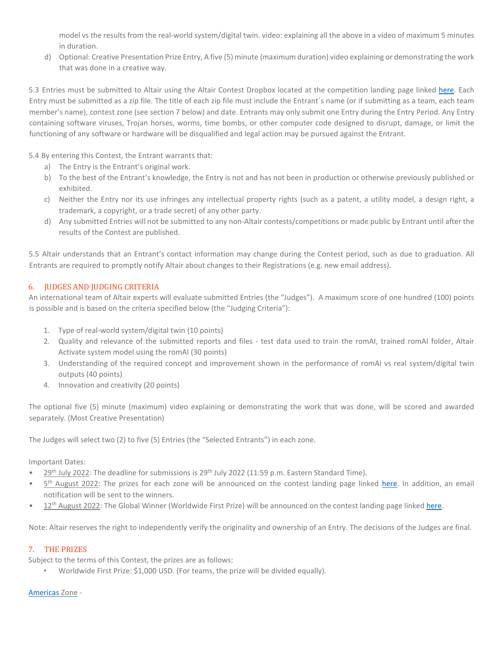model vs the results from the real-world system/digital twin. video: explaining all the above in a video of maximum 5 minutes in duration.

d) Optional: Creative Presentation Prize Entry, A five (5) minute (maximum duration) video explaining or demonstrating the work that was done in a creative way.

5.3 Entries must be submitted to Altair using the Altair Contest Dropbox located at the competition landing page linked [here.](https://altairuniversity.com/contest/) [E](https://altairuniversity.com/contest/)ach Entry must be submitted as a zip file. The title of each zip file must include the Entrant`s name (or if submitting as a team, each team member's name), contest zone (see section 7 below) and date. Entrants may only submit one Entry during the Entry Period. Any Entry containing software viruses, Trojan horses, worms, time bombs, or other computer code designed to disrupt, damage, or limit the functioning of any software or hardware will be disqualified and legal action may be pursued against the Entrant.

5.4 By entering this Contest, the Entrant warrants that:

- a) The Entry is the Entrant's original work.
- b) To the best of the Entrant's knowledge, the Entry is not and has not been in production or otherwise previously published or exhibited.
- c) Neither the Entry nor its use infringes any intellectual property rights (such as a patent, a utility model, a design right, a trademark, a copyright, or a trade secret) of any other party.
- d) Any submitted Entries will not be submitted to any non-Altair contests/competitions or made public by Entrant until after the results of the Contest are published.

5.5 Altair understands that an Entrant's contact information may change during the Contest period, such as due to graduation. All Entrants are required to promptly notify Altair about changes to their Registrations (e.g. new email address).

## 6. JUDGES AND JUDGING CRITERIA

An international team of Altair experts will evaluate submitted Entries (the "Judges"). A maximum score of one hundred (100) points is possible and is based on the criteria specified below (the "Judging Criteria"):

- 1. Type of real-world system/digital twin (10 points)
- 2. Quality and relevance of the submitted reports and files test data used to train the romAI, trained romAI folder, Altair Activate system model using the romAI (30 points)
- 3. Understanding of the required concept and improvement shown in the performance of romAI vs real system/digital twin outputs (40 points)
- 4. Innovation and creativity (20 points)

The optional five (5) minute (maximum) video explaining or demonstrating the work that was done, will be scored and awarded separately. (Most Creative Presentation)

The Judges will select two (2) to five (5) Entries (the "Selected Entrants") in each zone.

Important Dates:

- $29<sup>th</sup>$  July 2022: The deadline for submissions is  $29<sup>th</sup>$  July 2022 (11:59 p.m. Eastern Standard Time).
- 5<sup>th</sup> August 2022: The prizes for each zone will be announced on the contest landing page li[nked](https://altairuniversity.com/contest/) [here. I](https://altairuniversity.com/contest/)n addition, an email notification will be sent to the winners.
- 12<sup>th</sup> August 2022: The Global Winner (Worldwide First Prize) will be announced on the contest landing page link[ed here.](https://altairuniversity.com/contest/)

Note: Altair reserves the right to independently verify the originality and ownership of an Entry. The decisions of the Judges are final.

## 7. THE PRIZES

Subject to the terms of this Contest, the prizes are as follows:

• Worldwide First Prize: \$1,000 USD. (For teams, the prize will be divided equally).

## [Americas](https://en.wikipedia.org/wiki/Americas) [Zo](https://en.wikipedia.org/wiki/Americas)ne -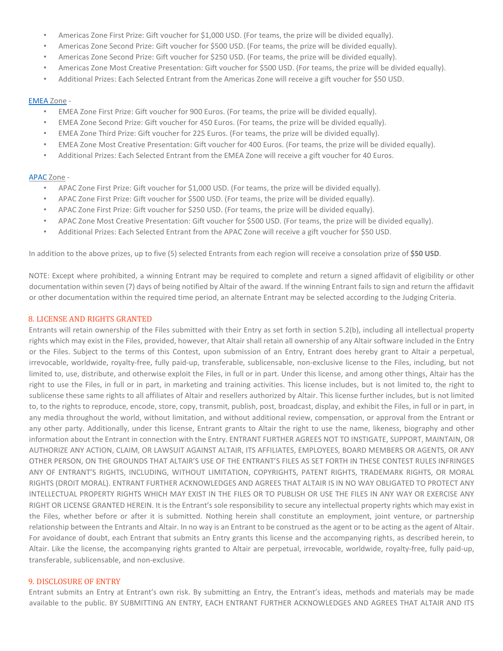- Americas Zone First Prize: Gift voucher for \$1,000 USD. (For teams, the prize will be divided equally).
- Americas Zone Second Prize: Gift voucher for \$500 USD. (For teams, the prize will be divided equally).
- Americas Zone Second Prize: Gift voucher for \$250 USD. (For teams, the prize will be divided equally).
- Americas Zone Most Creative Presentation: Gift voucher for \$500 USD. (For teams, the prize will be divided equally).
- Additional Prizes: Each Selected Entrant from the Americas Zone will receive a gift voucher for \$50 USD.

#### [EMEA](https://en.wikipedia.org/wiki/Europe,_the_Middle_East_and_Africa) [Zo](https://en.wikipedia.org/wiki/Europe,_the_Middle_East_and_Africa)ne -

- EMEA Zone First Prize: Gift voucher for 900 Euros. (For teams, the prize will be divided equally).
- EMEA Zone Second Prize: Gift voucher for 450 Euros. (For teams, the prize will be divided equally).
- EMEA Zone Third Prize: Gift voucher for 225 Euros. (For teams, the prize will be divided equally).
- EMEA Zone Most Creative Presentation: Gift voucher for 400 Euros. (For teams, the prize will be divided equally).
- Additional Prizes: Each Selected Entrant from the EMEA Zone will receive a gift voucher for 40 Euros.

#### [APAC](https://en.wikipedia.org/wiki/Asia-Pacific) [Zo](https://en.wikipedia.org/wiki/Asia-Pacific)ne -

- APAC Zone First Prize: Gift voucher for \$1,000 USD. (For teams, the prize will be divided equally).
- APAC Zone First Prize: Gift voucher for \$500 USD. (For teams, the prize will be divided equally).
- APAC Zone First Prize: Gift voucher for \$250 USD. (For teams, the prize will be divided equally).
- APAC Zone Most Creative Presentation: Gift voucher for \$500 USD. (For teams, the prize will be divided equally).
- Additional Prizes: Each Selected Entrant from the APAC Zone will receive a gift voucher for \$50 USD.

In addition to the above prizes, up to five (5) selected Entrants from each region will receive a consolation prize of **\$50 USD**.

NOTE: Except where prohibited, a winning Entrant may be required to complete and return a signed affidavit of eligibility or other documentation within seven (7) days of being notified by Altair of the award. If the winning Entrant fails to sign and return the affidavit or other documentation within the required time period, an alternate Entrant may be selected according to the Judging Criteria.

#### 8. LICENSE AND RIGHTS GRANTED

Entrants will retain ownership of the Files submitted with their Entry as set forth in section 5.2(b), including all intellectual property rights which may exist in the Files, provided, however, that Altair shall retain all ownership of any Altair software included in the Entry or the Files. Subject to the terms of this Contest, upon submission of an Entry, Entrant does hereby grant to Altair a perpetual, irrevocable, worldwide, royalty-free, fully paid-up, transferable, sublicensable, non-exclusive license to the Files, including, but not limited to, use, distribute, and otherwise exploit the Files, in full or in part. Under this license, and among other things, Altair has the right to use the Files, in full or in part, in marketing and training activities. This license includes, but is not limited to, the right to sublicense these same rights to all affiliates of Altair and resellers authorized by Altair. This license further includes, but is not limited to, to the rights to reproduce, encode, store, copy, transmit, publish, post, broadcast, display, and exhibit the Files, in full or in part, in any media throughout the world, without limitation, and without additional review, compensation, or approval from the Entrant or any other party. Additionally, under this license, Entrant grants to Altair the right to use the name, likeness, biography and other information about the Entrant in connection with the Entry. ENTRANT FURTHER AGREES NOT TO INSTIGATE, SUPPORT, MAINTAIN, OR AUTHORIZE ANY ACTION, CLAIM, OR LAWSUIT AGAINST ALTAIR, ITS AFFILIATES, EMPLOYEES, BOARD MEMBERS OR AGENTS, OR ANY OTHER PERSON, ON THE GROUNDS THAT ALTAIR'S USE OF THE ENTRANT'S FILES AS SET FORTH IN THESE CONTEST RULES INFRINGES ANY OF ENTRANT'S RIGHTS, INCLUDING, WITHOUT LIMITATION, COPYRIGHTS, PATENT RIGHTS, TRADEMARK RIGHTS, OR MORAL RIGHTS (DROIT MORAL). ENTRANT FURTHER ACKNOWLEDGES AND AGREES THAT ALTAIR IS IN NO WAY OBLIGATED TO PROTECT ANY INTELLECTUAL PROPERTY RIGHTS WHICH MAY EXIST IN THE FILES OR TO PUBLISH OR USE THE FILES IN ANY WAY OR EXERCISE ANY RIGHT OR LICENSE GRANTED HEREIN. It is the Entrant's sole responsibility to secure any intellectual property rights which may exist in the Files, whether before or after it is submitted. Nothing herein shall constitute an employment, joint venture, or partnership relationship between the Entrants and Altair. In no way is an Entrant to be construed as the agent or to be acting as the agent of Altair. For avoidance of doubt, each Entrant that submits an Entry grants this license and the accompanying rights, as described herein, to Altair. Like the license, the accompanying rights granted to Altair are perpetual, irrevocable, worldwide, royalty-free, fully paid-up, transferable, sublicensable, and non-exclusive.

#### 9. DISCLOSURE OF ENTRY

Entrant submits an Entry at Entrant's own risk. By submitting an Entry, the Entrant's ideas, methods and materials may be made available to the public. BY SUBMITTING AN ENTRY, EACH ENTRANT FURTHER ACKNOWLEDGES AND AGREES THAT ALTAIR AND ITS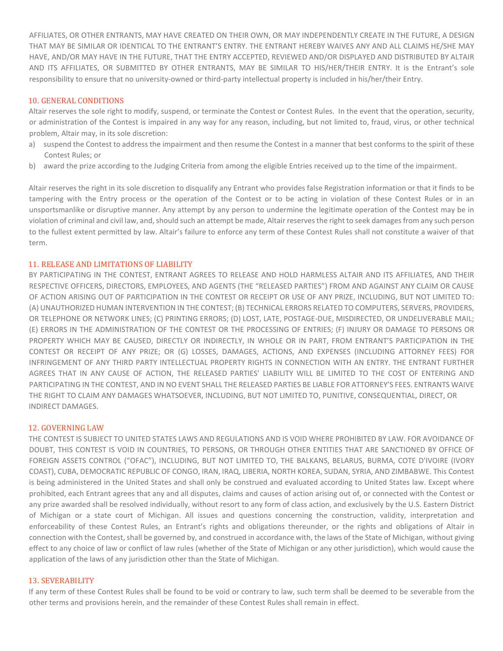AFFILIATES, OR OTHER ENTRANTS, MAY HAVE CREATED ON THEIR OWN, OR MAY INDEPENDENTLY CREATE IN THE FUTURE, A DESIGN THAT MAY BE SIMILAR OR IDENTICAL TO THE ENTRANT'S ENTRY. THE ENTRANT HEREBY WAIVES ANY AND ALL CLAIMS HE/SHE MAY HAVE, AND/OR MAY HAVE IN THE FUTURE, THAT THE ENTRY ACCEPTED, REVIEWED AND/OR DISPLAYED AND DISTRIBUTED BY ALTAIR AND ITS AFFILIATES, OR SUBMITTED BY OTHER ENTRANTS, MAY BE SIMILAR TO HIS/HER/THEIR ENTRY. It is the Entrant's sole responsibility to ensure that no university-owned or third-party intellectual property is included in his/her/their Entry.

## 10. GENERAL CONDITIONS

Altair reserves the sole right to modify, suspend, or terminate the Contest or Contest Rules. In the event that the operation, security, or administration of the Contest is impaired in any way for any reason, including, but not limited to, fraud, virus, or other technical problem, Altair may, in its sole discretion:

- a) suspend the Contest to address the impairment and then resume the Contest in a manner that best conforms to the spirit of these Contest Rules; or
- b) award the prize according to the Judging Criteria from among the eligible Entries received up to the time of the impairment.

Altair reserves the right in its sole discretion to disqualify any Entrant who provides false Registration information or that it finds to be tampering with the Entry process or the operation of the Contest or to be acting in violation of these Contest Rules or in an unsportsmanlike or disruptive manner. Any attempt by any person to undermine the legitimate operation of the Contest may be in violation of criminal and civil law, and,should such an attempt be made, Altair reserves the right to seek damages from any such person to the fullest extent permitted by law. Altair's failure to enforce any term of these Contest Rules shall not constitute a waiver of that term.

## 11. RELEASE AND LIMITATIONS OF LIABILITY

BY PARTICIPATING IN THE CONTEST, ENTRANT AGREES TO RELEASE AND HOLD HARMLESS ALTAIR AND ITS AFFILIATES, AND THEIR RESPECTIVE OFFICERS, DIRECTORS, EMPLOYEES, AND AGENTS (THE "RELEASED PARTIES") FROM AND AGAINST ANY CLAIM OR CAUSE OF ACTION ARISING OUT OF PARTICIPATION IN THE CONTEST OR RECEIPT OR USE OF ANY PRIZE, INCLUDING, BUT NOT LIMITED TO: (A) UNAUTHORIZED HUMAN INTERVENTION IN THE CONTEST; (B) TECHNICAL ERRORS RELATED TO COMPUTERS, SERVERS, PROVIDERS, OR TELEPHONE OR NETWORK LINES; (C) PRINTING ERRORS; (D) LOST, LATE, POSTAGE-DUE, MISDIRECTED, OR UNDELIVERABLE MAIL; (E) ERRORS IN THE ADMINISTRATION OF THE CONTEST OR THE PROCESSING OF ENTRIES; (F) INJURY OR DAMAGE TO PERSONS OR PROPERTY WHICH MAY BE CAUSED, DIRECTLY OR INDIRECTLY, IN WHOLE OR IN PART, FROM ENTRANT'S PARTICIPATION IN THE CONTEST OR RECEIPT OF ANY PRIZE; OR (G) LOSSES, DAMAGES, ACTIONS, AND EXPENSES (INCLUDING ATTORNEY FEES) FOR INFRINGEMENT OF ANY THIRD PARTY INTELLECTUAL PROPERTY RIGHTS IN CONNECTION WITH AN ENTRY. THE ENTRANT FURTHER AGREES THAT IN ANY CAUSE OF ACTION, THE RELEASED PARTIES' LIABILITY WILL BE LIMITED TO THE COST OF ENTERING AND PARTICIPATING IN THE CONTEST, AND IN NO EVENT SHALL THE RELEASED PARTIES BE LIABLE FOR ATTORNEY'S FEES. ENTRANTS WAIVE THE RIGHT TO CLAIM ANY DAMAGES WHATSOEVER, INCLUDING, BUT NOT LIMITED TO, PUNITIVE, CONSEQUENTIAL, DIRECT, OR INDIRECT DAMAGES.

#### 12. GOVERNING LAW

THE CONTEST IS SUBJECT TO UNITED STATES LAWS AND REGULATIONS AND IS VOID WHERE PROHIBITED BY LAW. FOR AVOIDANCE OF DOUBT, THIS CONTEST IS VOID IN COUNTRIES, TO PERSONS, OR THROUGH OTHER ENTITIES THAT ARE SANCTIONED BY OFFICE OF FOREIGN ASSETS CONTROL ("OFAC"), INCLUDING, BUT NOT LIMITED TO, THE BALKANS, BELARUS, BURMA, COTE D'IVOIRE (IVORY COAST), CUBA, DEMOCRATIC REPUBLIC OF CONGO, IRAN, IRAQ, LIBERIA, NORTH KOREA, SUDAN, SYRIA, AND ZIMBABWE. This Contest is being administered in the United States and shall only be construed and evaluated according to United States law. Except where prohibited, each Entrant agrees that any and all disputes, claims and causes of action arising out of, or connected with the Contest or any prize awarded shall be resolved individually, without resort to any form of class action, and exclusively by the U.S. Eastern District of Michigan or a state court of Michigan. All issues and questions concerning the construction, validity, interpretation and enforceability of these Contest Rules, an Entrant's rights and obligations thereunder, or the rights and obligations of Altair in connection with the Contest, shall be governed by, and construed in accordance with, the laws of the State of Michigan, without giving effect to any choice of law or conflict of law rules (whether of the State of Michigan or any other jurisdiction), which would cause the application of the laws of any jurisdiction other than the State of Michigan.

#### 13. SEVERABILITY

If any term of these Contest Rules shall be found to be void or contrary to law, such term shall be deemed to be severable from the other terms and provisions herein, and the remainder of these Contest Rules shall remain in effect.